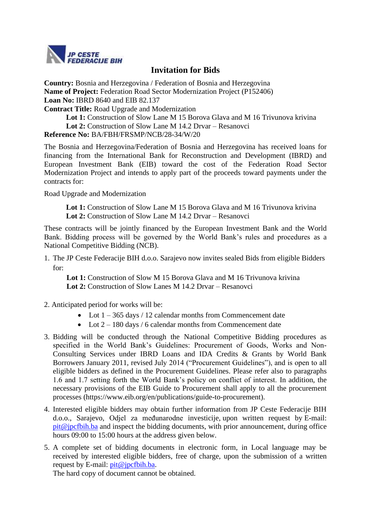

## **Invitation for Bids**

**Country:** Bosnia and Herzegovina / Federation of Bosnia and Herzegovina **Name of Project:** Federation Road Sector Modernization Project (P152406) **Loan No:** IBRD 8640 and EIB 82.137

**Contract Title:** Road Upgrade and Modernization

**Lot 1:** Construction of Slow Lane M 15 Borova Glava and M 16 Trivunova krivina **Lot 2:** Construction of Slow Lane M 14.2 Drvar – Resanovci **Reference No:** BA/FBH/FRSMP/NCB/28-34/W/20

The Bosnia and Herzegovina/Federation of Bosnia and Herzegovina has received loans for financing from the International Bank for Reconstruction and Development (IBRD) and European Investment Bank (EIB) toward the cost of the Federation Road Sector Modernization Project and intends to apply part of the proceeds toward payments under the contracts for:

Road Upgrade and Modernization

Lot 1: Construction of Slow Lane M 15 Borova Glava and M 16 Trivunova krivina **Lot 2:** Construction of Slow Lane M 14.2 Drvar – Resanovci

These contracts will be jointly financed by the European Investment Bank and the World Bank. Bidding process will be governed by the World Bank's rules and procedures as a National Competitive Bidding (NCB).

1. The JP Ceste Federacije BIH d.o.o. Sarajevo now invites sealed Bids from eligible Bidders for:

Lot 1: Construction of Slow M 15 Borova Glava and M 16 Trivunova krivina **Lot 2:** Construction of Slow Lanes M 14.2 Drvar – Resanovci

- 2. Anticipated period for works will be:
	- Lot  $1 365$  days / 12 calendar months from Commencement date
	- Lot  $2 180$  days / 6 calendar months from Commencement date
- 3. Bidding will be conducted through the National Competitive Bidding procedures as specified in the World Bank's Guidelines: Procurement of Goods, Works and Non-Consulting Services under IBRD Loans and IDA Credits & Grants by World Bank Borrowers January 2011, revised July 2014 ("Procurement Guidelines"), and is open to all eligible bidders as defined in the Procurement Guidelines. Please refer also to paragraphs 1.6 and 1.7 setting forth the World Bank's policy on conflict of interest. In addition, the necessary provisions of the EIB Guide to Procurement shall apply to all the procurement processes (https://www.eib.org/en/publications/guide-to-procurement).
- 4. Interested eligible bidders may obtain further information from JP Ceste Federacije BIH d.o.o., Sarajevo, Odjel za međunarodne investicije, upon written request by E**-**mail:  $p$ it $@$  incfbih.ba and inspect the bidding documents, with prior announcement, during office hours 09:00 to 15:00 hours at the address given below.
- 5. A complete set of bidding documents in electronic form, in Local language may be received by interested eligible bidders, free of charge, upon the submission of a written request by E-mail: [pit@jpcfbih.ba.](mailto:pit@jpcfbih.ba)

The hard copy of document cannot be obtained.